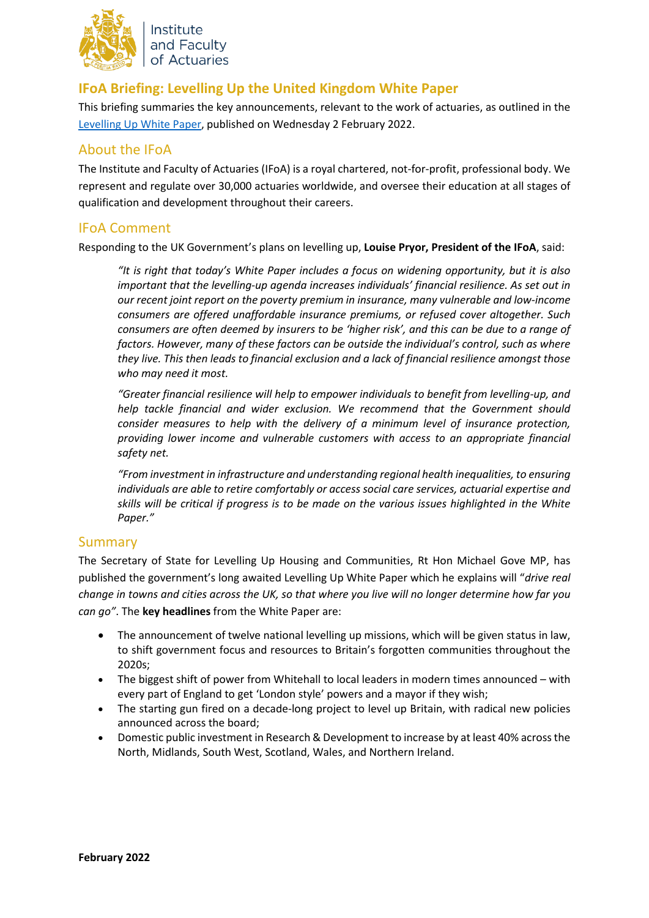

Institute and Faculty of Actuaries

# **IFoA Briefing: Levelling Up the United Kingdom White Paper**

This briefing summaries the key announcements, relevant to the work of actuaries, as outlined in the [Levelling Up White Paper,](https://assets.publishing.service.gov.uk/government/uploads/system/uploads/attachment_data/file/1052064/Levelling_Up_White_Paper_HR.pdf) published on Wednesday 2 February 2022.

## About the IFoA

The Institute and Faculty of Actuaries (IFoA) is a royal chartered, not-for-profit, professional body. We represent and regulate over 30,000 actuaries worldwide, and oversee their education at all stages of qualification and development throughout their careers.

## IFoA Comment

Responding to the UK Government's plans on levelling up, **Louise Pryor, President of the IFoA**, said:

*"It is right that today's White Paper includes a focus on widening opportunity, but it is also important that the levelling-up agenda increases individuals' financial resilience. As set out in our recent joint report on the poverty premium in insurance, many vulnerable and low-income consumers are offered unaffordable insurance premiums, or refused cover altogether. Such consumers are often deemed by insurers to be 'higher risk', and this can be due to a range of factors. However, many of these factors can be outside the individual's control, such as where they live. This then leads to financial exclusion and a lack of financial resilience amongst those who may need it most.*

*"Greater financial resilience will help to empower individuals to benefit from levelling-up, and help tackle financial and wider exclusion. We recommend that the Government should consider measures to help with the delivery of a minimum level of insurance protection, providing lower income and vulnerable customers with access to an appropriate financial safety net.*

*"From investment in infrastructure and understanding regional health inequalities, to ensuring individuals are able to retire comfortably or access social care services, actuarial expertise and skills will be critical if progress is to be made on the various issues highlighted in the White Paper."*

## **Summary**

The Secretary of State for Levelling Up Housing and Communities, Rt Hon Michael Gove MP, has published the government's long awaited Levelling Up White Paper which he explains will "*drive real change in towns and cities across the UK, so that where you live will no longer determine how far you can go"*. The **key headlines** from the White Paper are:

- The announcement of twelve national levelling up missions, which will be given status in law, to shift government focus and resources to Britain's forgotten communities throughout the 2020s;
- The biggest shift of power from Whitehall to local leaders in modern times announced with every part of England to get 'London style' powers and a mayor if they wish;
- The starting gun fired on a decade-long project to level up Britain, with radical new policies announced across the board;
- Domestic public investment in Research & Development to increase by at least 40% across the North, Midlands, South West, Scotland, Wales, and Northern Ireland.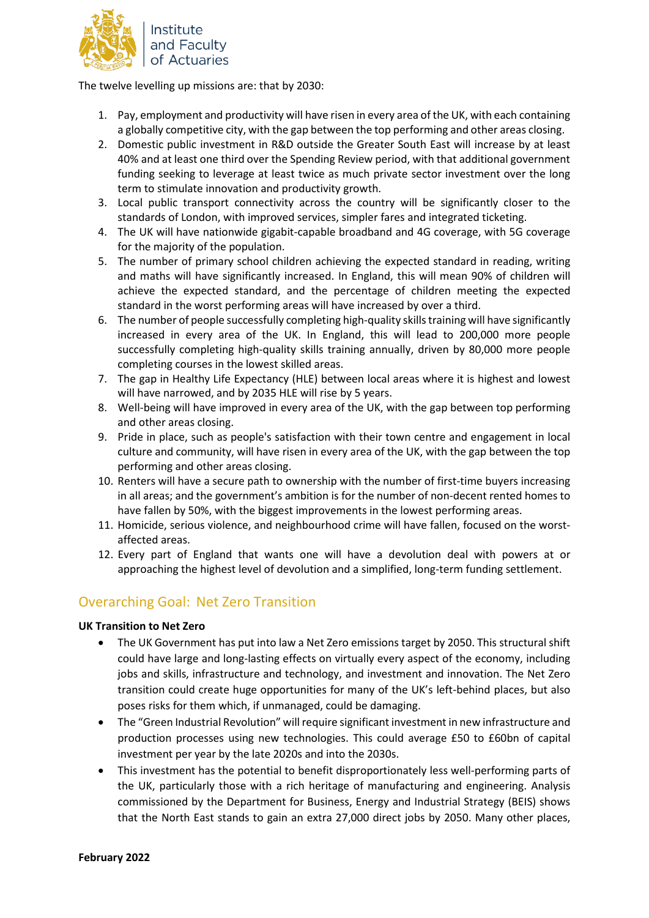

The twelve levelling up missions are: that by 2030:

- 1. Pay, employment and productivity will have risen in every area of the UK, with each containing a globally competitive city, with the gap between the top performing and other areas closing.
- 2. Domestic public investment in R&D outside the Greater South East will increase by at least 40% and at least one third over the Spending Review period, with that additional government funding seeking to leverage at least twice as much private sector investment over the long term to stimulate innovation and productivity growth.
- 3. Local public transport connectivity across the country will be significantly closer to the standards of London, with improved services, simpler fares and integrated ticketing.
- 4. The UK will have nationwide gigabit-capable broadband and 4G coverage, with 5G coverage for the majority of the population.
- 5. The number of primary school children achieving the expected standard in reading, writing and maths will have significantly increased. In England, this will mean 90% of children will achieve the expected standard, and the percentage of children meeting the expected standard in the worst performing areas will have increased by over a third.
- 6. The number of people successfully completing high-quality skills training will have significantly increased in every area of the UK. In England, this will lead to 200,000 more people successfully completing high-quality skills training annually, driven by 80,000 more people completing courses in the lowest skilled areas.
- 7. The gap in Healthy Life Expectancy (HLE) between local areas where it is highest and lowest will have narrowed, and by 2035 HLE will rise by 5 years.
- 8. Well-being will have improved in every area of the UK, with the gap between top performing and other areas closing.
- 9. Pride in place, such as people's satisfaction with their town centre and engagement in local culture and community, will have risen in every area of the UK, with the gap between the top performing and other areas closing.
- 10. Renters will have a secure path to ownership with the number of first-time buyers increasing in all areas; and the government's ambition is for the number of non-decent rented homes to have fallen by 50%, with the biggest improvements in the lowest performing areas.
- 11. Homicide, serious violence, and neighbourhood crime will have fallen, focused on the worstaffected areas.
- 12. Every part of England that wants one will have a devolution deal with powers at or approaching the highest level of devolution and a simplified, long-term funding settlement.

# Overarching Goal: Net Zero Transition

### **UK Transition to Net Zero**

- The UK Government has put into law a Net Zero emissions target by 2050. This structural shift could have large and long-lasting effects on virtually every aspect of the economy, including jobs and skills, infrastructure and technology, and investment and innovation. The Net Zero transition could create huge opportunities for many of the UK's left-behind places, but also poses risks for them which, if unmanaged, could be damaging.
- The "Green Industrial Revolution" will require significant investment in new infrastructure and production processes using new technologies. This could average £50 to £60bn of capital investment per year by the late 2020s and into the 2030s.
- This investment has the potential to benefit disproportionately less well-performing parts of the UK, particularly those with a rich heritage of manufacturing and engineering. Analysis commissioned by the Department for Business, Energy and Industrial Strategy (BEIS) shows that the North East stands to gain an extra 27,000 direct jobs by 2050. Many other places,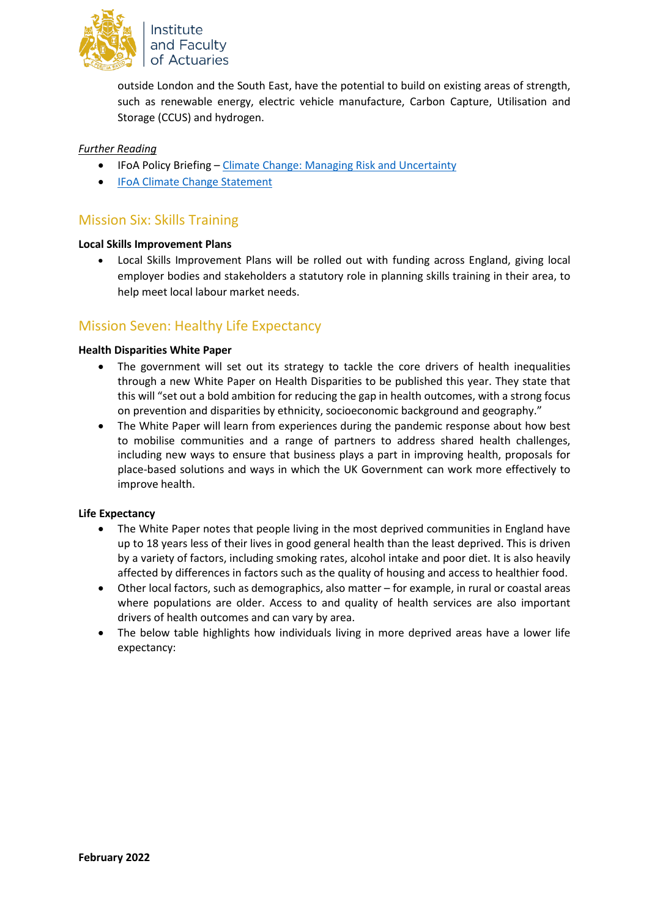

outside London and the South East, have the potential to build on existing areas of strength, such as renewable energy, electric vehicle manufacture, Carbon Capture, Utilisation and Storage (CCUS) and hydrogen.

### *Further Reading*

- IFoA Policy Briefing [Climate Change: Managing Risk and Uncertainty](https://www.actuaries.org.uk/system/files/field/document/Climate%20Change%20Managing%20Risk%20and%20Uncertainty%20-%20Policy%20Brief.pdf)
- [IFoA Climate Change Statement](https://www.actuaries.org.uk/climate-change-statement#:%7E:text=The%20IFoA%20supports%20the%20aim,has%20no%20net%20greenhouse%20gas)

## Mission Six: Skills Training

#### **Local Skills Improvement Plans**

• Local Skills Improvement Plans will be rolled out with funding across England, giving local employer bodies and stakeholders a statutory role in planning skills training in their area, to help meet local labour market needs.

### Mission Seven: Healthy Life Expectancy

#### **Health Disparities White Paper**

- The government will set out its strategy to tackle the core drivers of health inequalities through a new White Paper on Health Disparities to be published this year. They state that this will "set out a bold ambition for reducing the gap in health outcomes, with a strong focus on prevention and disparities by ethnicity, socioeconomic background and geography."
- The White Paper will learn from experiences during the pandemic response about how best to mobilise communities and a range of partners to address shared health challenges, including new ways to ensure that business plays a part in improving health, proposals for place-based solutions and ways in which the UK Government can work more effectively to improve health.

#### **Life Expectancy**

- The White Paper notes that people living in the most deprived communities in England have up to 18 years less of their lives in good general health than the least deprived. This is driven by a variety of factors, including smoking rates, alcohol intake and poor diet. It is also heavily affected by differences in factors such as the quality of housing and access to healthier food.
- Other local factors, such as demographics, also matter for example, in rural or coastal areas where populations are older. Access to and quality of health services are also important drivers of health outcomes and can vary by area.
- The below table highlights how individuals living in more deprived areas have a lower life expectancy: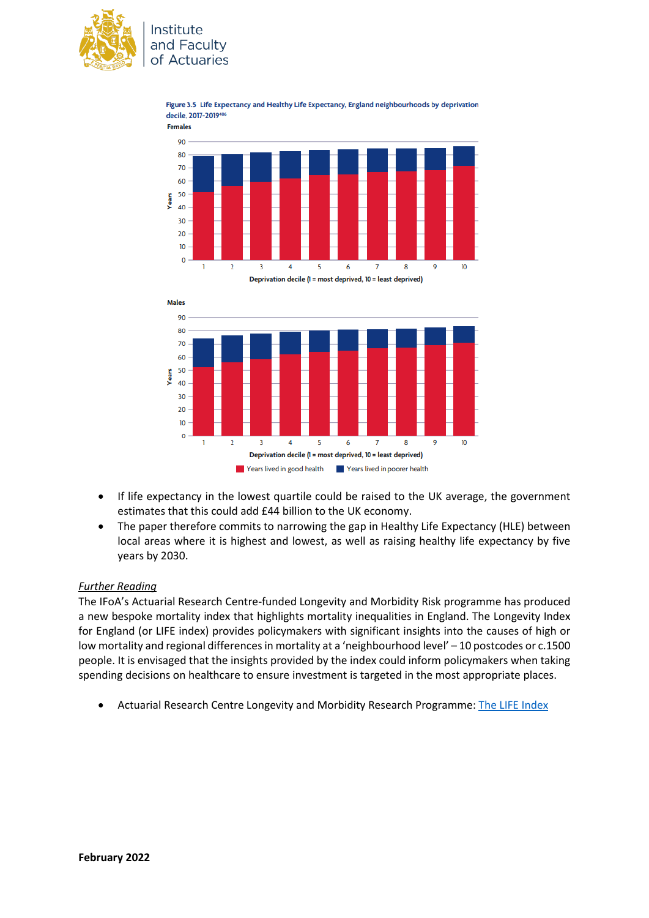

Institute and Faculty of Actuaries







- If life expectancy in the lowest quartile could be raised to the UK average, the government estimates that this could add £44 billion to the UK economy.
- The paper therefore commits to narrowing the gap in Healthy Life Expectancy (HLE) between local areas where it is highest and lowest, as well as raising healthy life expectancy by five years by 2030.

### *Further Reading*

The IFoA's Actuarial Research Centre-funded Longevity and Morbidity Risk programme has produced a new bespoke mortality index that highlights mortality inequalities in England. The Longevity Index for England (or LIFE index) provides policymakers with significant insights into the causes of high or low mortality and regional differences in mortality at a 'neighbourhood level' – 10 postcodes or c.1500 people. It is envisaged that the insights provided by the index could inform policymakers when taking spending decisions on healthcare to ensure investment is targeted in the most appropriate places.

• Actuarial Research Centre Longevity and Morbidity Research Programme: [The LIFE Index](https://www.actuaries.org.uk/learn-and-develop/research-and-knowledge/actuarial-research-centre-arc/recent-research/modelling-measurement-and-management-longevity-and-morbidity-risk/life-index)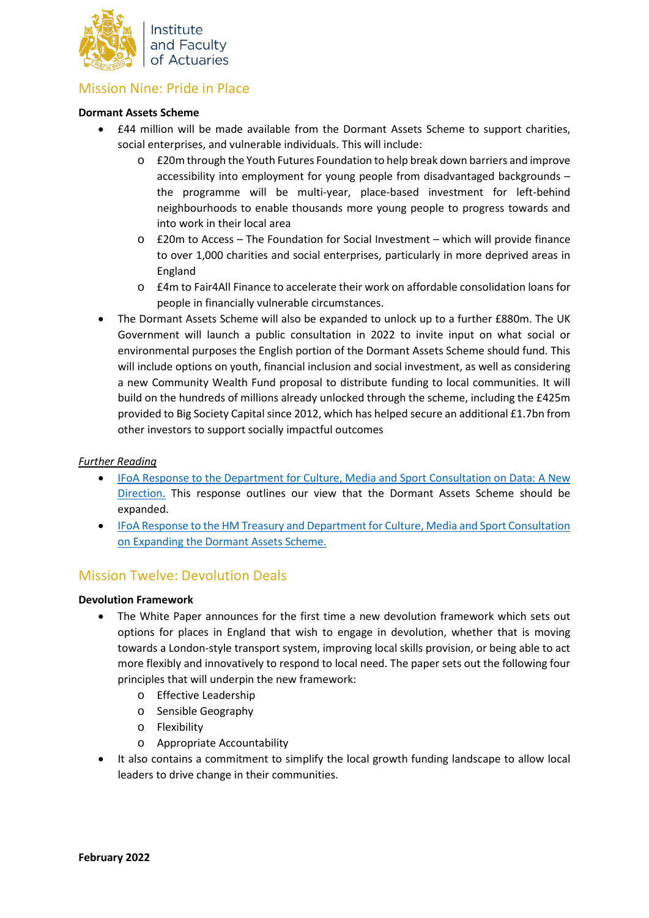

# Mission Nine: Pride in Place

#### **Dormant Assets Scheme**

- £44 million will be made available from the Dormant Assets Scheme to support charities, social enterprises, and vulnerable individuals. This will include:
	- o £20m through the Youth Futures Foundation to help break down barriers and improve accessibility into employment for young people from disadvantaged backgrounds – the programme will be multi-year, place-based investment for left-behind neighbourhoods to enable thousands more young people to progress towards and into work in their local area
	- o £20m to Access The Foundation for Social Investment which will provide finance to over 1,000 charities and social enterprises, particularly in more deprived areas in England
	- o £4m to Fair4All Finance to accelerate their work on affordable consolidation loans for people in financially vulnerable circumstances.
- The Dormant Assets Scheme will also be expanded to unlock up to a further £880m. The UK Government will launch a public consultation in 2022 to invite input on what social or environmental purposes the English portion of the Dormant Assets Scheme should fund. This will include options on youth, financial inclusion and social investment, as well as considering a new Community Wealth Fund proposal to distribute funding to local communities. It will build on the hundreds of millions already unlocked through the scheme, including the £425m provided to Big Society Capital since 2012, which has helped secure an additional £1.7bn from other investors to support socially impactful outcomes

#### *Further Reading*

- [IFoA Response to the Department for Culture, Media](https://www.actuaries.org.uk/system/files/field/document/Data%20-%20A%20New%20Direction.pdf) and Sport Consultation on Data: A New [Direction.](https://www.actuaries.org.uk/system/files/field/document/Data%20-%20A%20New%20Direction.pdf) This response outlines our view that the Dormant Assets Scheme should be expanded.
- [IFoA Response to the HM Treasury and Department for Culture, Media and Sport Consultation](https://www.actuaries.org.uk/system/files/field/document/07-16%20Dormant%20Assets.pdf)  [on Expanding the Dormant Assets Scheme.](https://www.actuaries.org.uk/system/files/field/document/07-16%20Dormant%20Assets.pdf)

## Mission Twelve: Devolution Deals

#### **Devolution Framework**

- The White Paper announces for the first time a new devolution framework which sets out options for places in England that wish to engage in devolution, whether that is moving towards a London-style transport system, improving local skills provision, or being able to act more flexibly and innovatively to respond to local need. The paper sets out the following four principles that will underpin the new framework:
	- o Effective Leadership
	- o Sensible Geography
	- o Flexibility
	- o Appropriate Accountability
- It also contains a commitment to simplify the local growth funding landscape to allow local leaders to drive change in their communities.